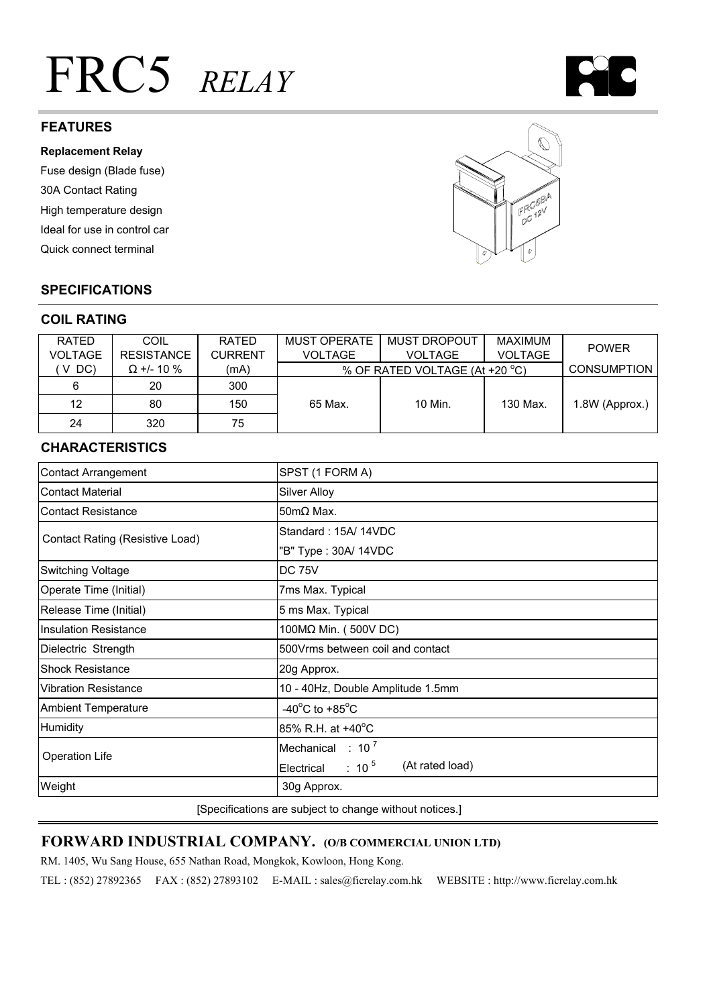# FRC5 *RELAY*



#### **Replacement Relay**

Fuse design (Blade fuse) 30A Contact Rating High temperature design Ideal for use in control car Quick connect terminal



# **SPECIFICATIONS**

#### **COIL RATING**

| <b>RATED</b>   | COIL              | RATED          | <b>MUST OPERATE</b>            | <b>MUST DROPOUT</b> | <b>MAXIMUM</b> | <b>POWER</b>       |
|----------------|-------------------|----------------|--------------------------------|---------------------|----------------|--------------------|
| <b>VOLTAGE</b> | <b>RESISTANCE</b> | <b>CURRENT</b> | <b>VOLTAGE</b>                 | <b>VOLTAGE</b>      | <b>VOLTAGE</b> |                    |
| $V$ DC)        | $\Omega$ +/- 10 % | (mA)           | % OF RATED VOLTAGE (At +20 °C) |                     |                | <b>CONSUMPTION</b> |
| 6              | 20                | 300            |                                |                     |                |                    |
| 12             | 80                | 150            | 65 Max.                        | 10 Min.             | 130 Max.       | 1.8W (Approx.)     |
| 24             | 320               | 75             |                                |                     |                |                    |

# **CHARACTERISTICS**

| <b>Contact Arrangement</b>      | SPST (1 FORM A)                        |  |  |
|---------------------------------|----------------------------------------|--|--|
| <b>Contact Material</b>         | <b>Silver Alloy</b>                    |  |  |
| <b>Contact Resistance</b>       | $50 \text{m}\Omega$ Max.               |  |  |
| Contact Rating (Resistive Load) | Standard: 15A/ 14VDC                   |  |  |
|                                 | "B" Type: 30A/ 14VDC                   |  |  |
| <b>Switching Voltage</b>        | <b>DC 75V</b>                          |  |  |
| Operate Time (Initial)          | 7ms Max. Typical                       |  |  |
| Release Time (Initial)          | 5 ms Max. Typical                      |  |  |
| <b>Insulation Resistance</b>    | 100MΩ Min. (500V DC)                   |  |  |
| Dielectric Strength             | 500Vrms between coil and contact       |  |  |
| <b>Shock Resistance</b>         | 20g Approx.                            |  |  |
| <b>Vibration Resistance</b>     | 10 - 40Hz, Double Amplitude 1.5mm      |  |  |
| <b>Ambient Temperature</b>      | -40 $^{\circ}$ C to +85 $^{\circ}$ C   |  |  |
| Humidity                        | 85% R.H. at +40°C                      |  |  |
| <b>Operation Life</b>           | Mechanical : $10^7$                    |  |  |
|                                 | (At rated load)<br>Electrical : 10 $5$ |  |  |
| Weight                          | 30g Approx.                            |  |  |

[Specifications are subject to change without notices.]

# **FORWARD INDUSTRIAL COMPANY. (O/B COMMERCIAL UNION LTD)**

RM. 1405, Wu Sang House, 655 Nathan Road, Mongkok, Kowloon, Hong Kong.

TEL : (852) 27892365 FAX : (852) 27893102 E-MAIL : sales@ficrelay.com.hk WEBSITE : http://www.ficrelay.com.hk